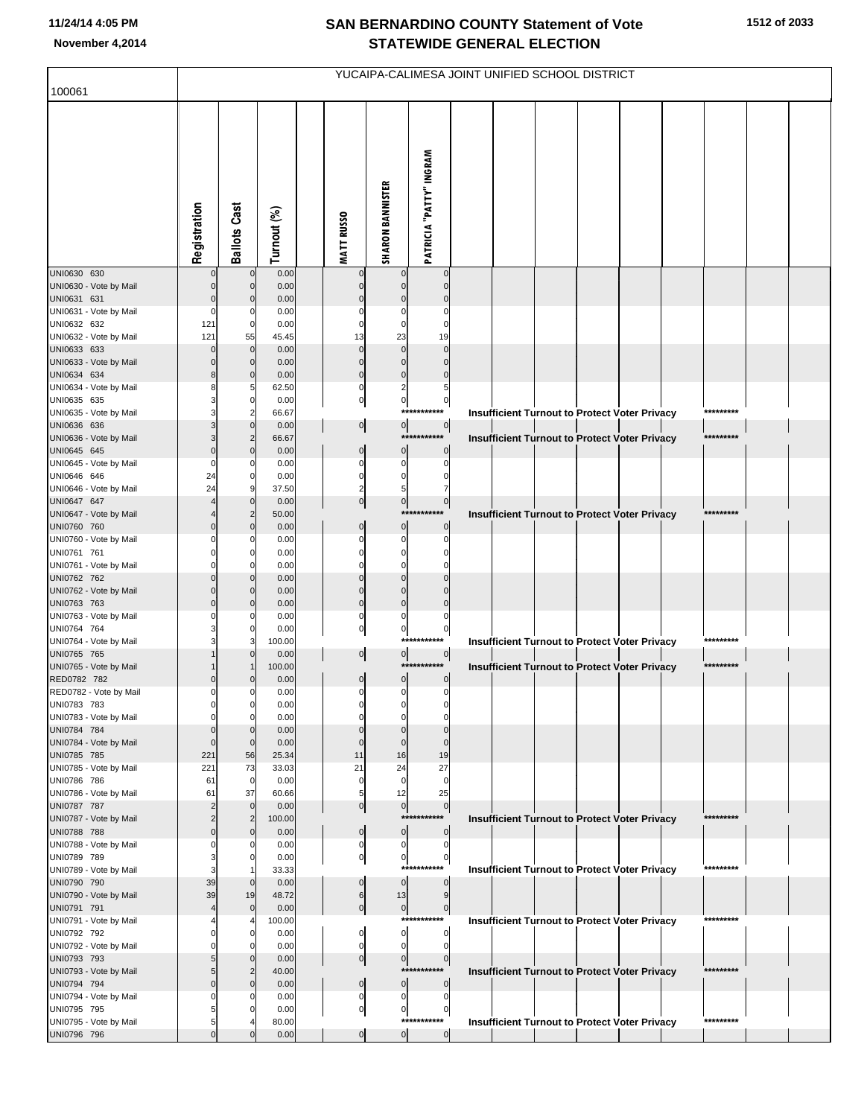## **SAN BERNARDINO COUNTY Statement of Vote November 4,2014 STATEWIDE GENERAL ELECTION**

| 100061                                | YUCAIPA-CALIMESA JOINT UNIFIED SCHOOL DISTRICT |                               |                |  |                             |                                |                               |  |  |  |  |                                                      |  |           |  |
|---------------------------------------|------------------------------------------------|-------------------------------|----------------|--|-----------------------------|--------------------------------|-------------------------------|--|--|--|--|------------------------------------------------------|--|-----------|--|
|                                       |                                                |                               |                |  |                             |                                |                               |  |  |  |  |                                                      |  |           |  |
|                                       | Registration                                   | <b>Ballots Cast</b>           | Turnout (%)    |  | <b>MATT RUSSO</b>           | <b>SHARON BANNISTER</b>        | PATRICIA "PATTY" INGRAM       |  |  |  |  |                                                      |  |           |  |
| UNI0630 630<br>UNI0630 - Vote by Mail |                                                | $\mathbf 0$<br>$\mathbf 0$    | 0.00<br>0.00   |  | $\mathbf 0$<br>$\mathbf 0$  | $\Omega$                       | $\mathbf 0$<br>$\Omega$       |  |  |  |  |                                                      |  |           |  |
| UNI0631 631                           |                                                | $\mathbf 0$                   | 0.00           |  | $\mathbf 0$                 | $\Omega$                       | $\Omega$                      |  |  |  |  |                                                      |  |           |  |
| UNI0631 - Vote by Mail                |                                                | 0                             | 0.00           |  | $\Omega$                    | $\Omega$                       | $\Omega$                      |  |  |  |  |                                                      |  |           |  |
| UNI0632 632                           | 121                                            | $\mathbf 0$                   | 0.00           |  | $\mathbf 0$                 | $\Omega$                       | $\Omega$                      |  |  |  |  |                                                      |  |           |  |
| UNI0632 - Vote by Mail<br>UNI0633 633 | 121                                            | 55<br>$\mathbf 0$             | 45.45<br>0.00  |  | 13<br>$\mathbf 0$           | 23<br>$\Omega$                 | 19<br>$\Omega$                |  |  |  |  |                                                      |  |           |  |
| UNI0633 - Vote by Mail                |                                                | $\mathbf 0$                   | 0.00           |  | $\pmb{0}$                   | $\mathbf 0$                    | $\Omega$                      |  |  |  |  |                                                      |  |           |  |
| UNI0634 634                           | 8                                              | $\mathbf 0$                   | 0.00           |  | $\pmb{0}$                   | $\mathbf 0$                    | $\mathbf 0$                   |  |  |  |  |                                                      |  |           |  |
| UNI0634 - Vote by Mail<br>UNI0635 635 |                                                | 5<br>$\mathbf 0$              | 62.50<br>0.00  |  | $\pmb{0}$<br>$\circ$        | $\overline{2}$<br>$\mathbf{0}$ | 5<br>$\pmb{0}$                |  |  |  |  |                                                      |  |           |  |
| UNI0635 - Vote by Mail                |                                                | $\overline{2}$                | 66.67          |  |                             |                                | ***********                   |  |  |  |  | Insufficient Turnout to Protect Voter Privacy        |  | ********* |  |
| UNI0636 636                           |                                                | $\mathbf 0$                   | 0.00           |  | $\overline{0}$              | $\overline{0}$                 | 0                             |  |  |  |  |                                                      |  |           |  |
| UNI0636 - Vote by Mail                |                                                | $\overline{2}$                | 66.67          |  |                             |                                | ***********                   |  |  |  |  | <b>Insufficient Turnout to Protect Voter Privacy</b> |  | ********* |  |
| UNI0645 645<br>UNI0645 - Vote by Mail |                                                | $\mathbf 0$<br>0              | 0.00<br>0.00   |  | $\pmb{0}$<br>$\mathbf 0$    | $\bf{0}$<br>0                  | $\mathbf 0$<br>$\Omega$       |  |  |  |  |                                                      |  |           |  |
| UNI0646 646                           | 24                                             | 0                             | 0.00           |  | $\pmb{0}$                   | $\mathbf 0$                    | 0                             |  |  |  |  |                                                      |  |           |  |
| UNI0646 - Vote by Mail                | 24                                             | 9                             | 37.50          |  | $\overline{2}$              | 5                              | 7                             |  |  |  |  |                                                      |  |           |  |
| UNI0647 647<br>UNI0647 - Vote by Mail |                                                | $\mathbf 0$<br>$\overline{2}$ | 0.00<br>50.00  |  | $\overline{0}$              | $\mathbf{0}$                   | $\overline{0}$<br>*********** |  |  |  |  | Insufficient Turnout to Protect Voter Privacy        |  | ********* |  |
| UNI0760 760                           |                                                | $\mathbf 0$                   | 0.00           |  | $\pmb{0}$                   | $\mathbf 0$                    | $\mathbf 0$                   |  |  |  |  |                                                      |  |           |  |
| UNI0760 - Vote by Mail                |                                                | 0                             | 0.00           |  | $\Omega$                    | $\Omega$                       | $\Omega$                      |  |  |  |  |                                                      |  |           |  |
| UNI0761 761<br>UNI0761 - Vote by Mail |                                                | 0<br>$\Omega$                 | 0.00<br>0.00   |  | 0<br>$\Omega$               | 0<br>$\Omega$                  | $\Omega$                      |  |  |  |  |                                                      |  |           |  |
| UNI0762 762                           |                                                | $\mathbf 0$                   | 0.00           |  | $\pmb{0}$                   | $\Omega$                       | $\Omega$                      |  |  |  |  |                                                      |  |           |  |
| UNI0762 - Vote by Mail                |                                                | $\mathbf 0$                   | 0.00           |  | $\pmb{0}$                   | $\Omega$                       | $\Omega$                      |  |  |  |  |                                                      |  |           |  |
| UNI0763 763                           |                                                | $\mathbf 0$                   | 0.00           |  | $\pmb{0}$                   | $\mathbf 0$                    | $\mathbf 0$                   |  |  |  |  |                                                      |  |           |  |
| UNI0763 - Vote by Mail<br>UNI0764 764 |                                                | 0<br>0                        | 0.00<br>0.00   |  | $\pmb{0}$<br>$\overline{0}$ | 0<br>$\mathbf 0$               | 0<br>$\pmb{0}$                |  |  |  |  |                                                      |  |           |  |
| UNI0764 - Vote by Mail                |                                                | 3                             | 100.00         |  |                             |                                | ***********                   |  |  |  |  | Insufficient Turnout to Protect Voter Privacy        |  | ********* |  |
| UNI0765 765                           |                                                | $\mathbf 0$                   | 0.00           |  | $\overline{0}$              | $\overline{0}$                 | 0 <br>***********             |  |  |  |  |                                                      |  | ********* |  |
| UNI0765 - Vote by Mail<br>RED0782 782 |                                                | $\Omega$                      | 100.00<br>0.00 |  | $\pmb{0}$                   | $\mathbf 0$                    | $\mathbf 0$                   |  |  |  |  | <b>Insufficient Turnout to Protect Voter Privacy</b> |  |           |  |
| RED0782 - Vote by Mail                |                                                | $\Omega$                      | 0.00           |  | $\pmb{0}$                   | 0                              | $\pmb{0}$                     |  |  |  |  |                                                      |  |           |  |
| UNI0783 783                           |                                                | 0                             | 0.00           |  |                             |                                |                               |  |  |  |  |                                                      |  |           |  |
| UNI0783 - Vote by Mail<br>UNI0784 784 |                                                | 0<br>$\mathbf 0$              | 0.00<br>0.00   |  | $\Omega$<br>$\mathbf 0$     | $\Omega$<br>$\Omega$           | $\Omega$<br>$\Omega$          |  |  |  |  |                                                      |  |           |  |
| UNI0784 - Vote by Mail                |                                                | $\mathbf 0$                   | 0.00           |  | $\Omega$                    | $\Omega$                       | $\Omega$                      |  |  |  |  |                                                      |  |           |  |
| UNI0785 785                           | 221                                            | 56                            | 25.34          |  | 11                          | 16                             | 19                            |  |  |  |  |                                                      |  |           |  |
| UNI0785 - Vote by Mail<br>UNI0786 786 | 221<br>61                                      | 73<br>$\mathbf 0$             | 33.03<br>0.00  |  | 21<br>0                     | 24<br>$\mathbf 0$              | 27<br>$\mathbf 0$             |  |  |  |  |                                                      |  |           |  |
| UNI0786 - Vote by Mail                | 61                                             | 37                            | 60.66          |  | 5                           | 12                             | 25                            |  |  |  |  |                                                      |  |           |  |
| UNI0787 787                           |                                                | $\mathbf 0$                   | 0.00           |  | $\overline{0}$              | $\pmb{0}$                      | $\overline{0}$                |  |  |  |  |                                                      |  |           |  |
| UNI0787 - Vote by Mail<br>UNI0788 788 |                                                | $\overline{2}$<br>$\mathbf 0$ | 100.00<br>0.00 |  | $\pmb{0}$                   |                                | ***********<br>$\pmb{0}$      |  |  |  |  | <b>Insufficient Turnout to Protect Voter Privacy</b> |  | ********* |  |
| UNI0788 - Vote by Mail                |                                                | $\Omega$                      | 0.00           |  | $\pmb{0}$                   | 0 <br>$\mathbf 0$              | $\mathbf 0$                   |  |  |  |  |                                                      |  |           |  |
| UNI0789 789                           |                                                | $\mathbf 0$                   | 0.00           |  | $\mathbf{0}$                | $\mathbf 0$                    | $\overline{0}$                |  |  |  |  |                                                      |  |           |  |
| UNI0789 - Vote by Mail                |                                                |                               | 33.33          |  |                             |                                | ***********                   |  |  |  |  | <b>Insufficient Turnout to Protect Voter Privacy</b> |  | ********* |  |
| UNI0790 790<br>UNI0790 - Vote by Mail | 39<br>39                                       | $\mathbf 0$<br>19             | 0.00<br>48.72  |  | $\mathbf 0$<br>6            | $\overline{0}$<br>13           | $\mathbf 0$<br>9              |  |  |  |  |                                                      |  |           |  |
| UNI0791 791                           |                                                | $\mathbf 0$                   | 0.00           |  | $\overline{0}$              | $\overline{0}$                 | $\overline{0}$                |  |  |  |  |                                                      |  |           |  |
| UNI0791 - Vote by Mail                |                                                |                               | 100.00         |  |                             |                                | ***********                   |  |  |  |  | <b>Insufficient Turnout to Protect Voter Privacy</b> |  | ********* |  |
| UNI0792 792                           |                                                | $\mathbf 0$<br>0              | 0.00           |  | 0<br>$\mathbf 0$            | $\circ$<br>$\mathbf 0$         | 0<br>$\mathbf 0$              |  |  |  |  |                                                      |  |           |  |
| UNI0792 - Vote by Mail<br>UNI0793 793 |                                                | $\mathbf 0$                   | 0.00<br>0.00   |  | $\overline{0}$              | $\overline{0}$                 | 0                             |  |  |  |  |                                                      |  |           |  |
| UNI0793 - Vote by Mail                |                                                | $\overline{2}$                | 40.00          |  |                             |                                | ***********                   |  |  |  |  | <b>Insufficient Turnout to Protect Voter Privacy</b> |  | ********* |  |
| UNI0794 794                           |                                                | $\mathbf 0$                   | 0.00           |  | $\pmb{0}$                   | 0                              | $\pmb{0}$                     |  |  |  |  |                                                      |  |           |  |
| UNI0794 - Vote by Mail<br>UNI0795 795 |                                                | 0<br>0                        | 0.00<br>0.00   |  | $\pmb{0}$<br>$\overline{0}$ | 0<br>$\pmb{0}$                 | $\mathbf 0$<br>$\pmb{0}$      |  |  |  |  |                                                      |  |           |  |
| UNI0795 - Vote by Mail                |                                                |                               | 80.00          |  |                             |                                | ***********                   |  |  |  |  | <b>Insufficient Turnout to Protect Voter Privacy</b> |  | ********* |  |
| UNI0796 796                           |                                                | $\Omega$                      | 0.00           |  | $\overline{0}$              | $\circ$                        | $\overline{0}$                |  |  |  |  |                                                      |  |           |  |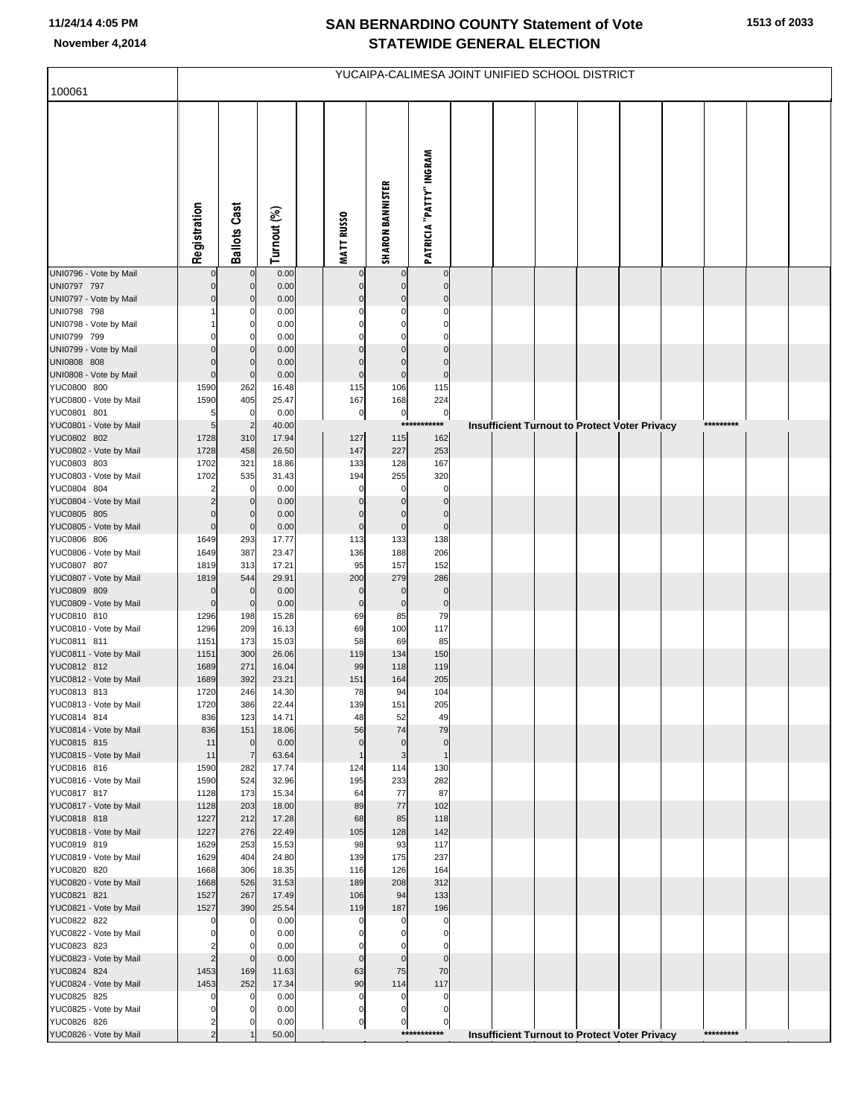## **SAN BERNARDINO COUNTY Statement of Vote November 4,2014 STATEWIDE GENERAL ELECTION**

|                                       | YUCAIPA-CALIMESA JOINT UNIFIED SCHOOL DISTRICT |                                  |                |  |                               |                            |                                |  |  |                                               |  |  |  |           |  |
|---------------------------------------|------------------------------------------------|----------------------------------|----------------|--|-------------------------------|----------------------------|--------------------------------|--|--|-----------------------------------------------|--|--|--|-----------|--|
| 100061                                |                                                |                                  |                |  |                               |                            |                                |  |  |                                               |  |  |  |           |  |
|                                       | Registration                                   | <b>Ballots Cast</b>              | Turnout (%)    |  | <b>MATT RUSSO</b>             | <b>SHARON BANNISTER</b>    | <b>PATRICIA "PATTY" INGRAM</b> |  |  |                                               |  |  |  |           |  |
| UNI0796 - Vote by Mail                | $\Omega$                                       | $\mathbf 0$                      | 0.00           |  | $\mathbf 0$                   | $\mathbf 0$                | $\mathbf 0$                    |  |  |                                               |  |  |  |           |  |
| UNI0797 797<br>UNI0797 - Vote by Mail | $\Omega$<br>$\Omega$                           | $\mathbf 0$<br>$\mathbf 0$       | 0.00<br>0.00   |  | $\mathbf 0$<br>$\Omega$       | $\Omega$<br>$\Omega$       | $\mathbf 0$<br>$\mathbf 0$     |  |  |                                               |  |  |  |           |  |
| UNI0798 798                           |                                                | 0                                | 0.00           |  | $\Omega$                      | $\Omega$                   | $\Omega$                       |  |  |                                               |  |  |  |           |  |
| UNI0798 - Vote by Mail                |                                                | $\mathbf 0$                      | 0.00           |  | $\Omega$                      | $\Omega$                   | $\mathbf 0$                    |  |  |                                               |  |  |  |           |  |
| UNI0799 799<br>UNI0799 - Vote by Mail | $\Omega$                                       | $\Omega$<br>$\mathbf 0$          | 0.00<br>0.00   |  | $\Omega$<br>$\Omega$          | C<br>$\Omega$              | $\Omega$<br>$\Omega$           |  |  |                                               |  |  |  |           |  |
| UNI0808 808                           | $\Omega$                                       | $\mathbf 0$                      | 0.00           |  | $\Omega$                      | $\mathbf 0$                | $\Omega$                       |  |  |                                               |  |  |  |           |  |
| UNI0808 - Vote by Mail                | $\Omega$                                       | $\mathbf 0$                      | 0.00           |  | $\mathbf 0$                   | $\mathbf 0$                | $\pmb{0}$                      |  |  |                                               |  |  |  |           |  |
| YUC0800 800<br>YUC0800 - Vote by Mail | 1590<br>1590                                   | 262<br>405                       | 16.48<br>25.47 |  | 115<br>167                    | 106<br>168                 | 115<br>224                     |  |  |                                               |  |  |  |           |  |
| YUC0801 801                           | 5                                              | $\overline{0}$                   | 0.00           |  | $\pmb{0}$                     | $\pmb{0}$                  | $\mathbf 0$                    |  |  |                                               |  |  |  |           |  |
| YUC0801 - Vote by Mail                | $5\overline{a}$                                | $\overline{2}$                   | 40.00          |  |                               |                            | ***********                    |  |  | Insufficient Turnout to Protect Voter Privacy |  |  |  | ********* |  |
| YUC0802 802<br>YUC0802 - Vote by Mail | 1728<br>1728                                   | 310<br>458                       | 17.94<br>26.50 |  | 127<br>147                    | 115<br>227                 | 162<br>253                     |  |  |                                               |  |  |  |           |  |
| YUC0803 803                           | 1702                                           | 321                              | 18.86          |  | 133                           | 128                        | 167                            |  |  |                                               |  |  |  |           |  |
| YUC0803 - Vote by Mail                | 1702                                           | 535                              | 31.43          |  | 194                           | 255                        | 320                            |  |  |                                               |  |  |  |           |  |
| YUC0804 804<br>YUC0804 - Vote by Mail | 2                                              | $\mathbf 0$<br>$\overline{0}$    | 0.00<br>0.00   |  | 0<br>$\mathbf 0$              | $\Omega$<br>$\Omega$       | $\mathbf 0$<br>$\mathbf 0$     |  |  |                                               |  |  |  |           |  |
| YUC0805 805                           | $\Omega$                                       | $\mathbf 0$                      | 0.00           |  | $\mathbf 0$                   | $\mathbf 0$                | $\mathbf 0$                    |  |  |                                               |  |  |  |           |  |
| YUC0805 - Vote by Mail                | $\mathbf 0$                                    | $\mathbf 0$                      | 0.00           |  | $\bf 0$                       | $\pmb{0}$                  | $\mathbf 0$                    |  |  |                                               |  |  |  |           |  |
| YUC0806 806<br>YUC0806 - Vote by Mail | 1649<br>1649                                   | 293<br>387                       | 17.77<br>23.47 |  | 113<br>136                    | 133<br>188                 | 138<br>206                     |  |  |                                               |  |  |  |           |  |
| YUC0807 807                           | 1819                                           | 313                              | 17.21          |  | 95                            | 157                        | 152                            |  |  |                                               |  |  |  |           |  |
| YUC0807 - Vote by Mail                | 1819                                           | 544                              | 29.91          |  | 200                           | 279                        | 286                            |  |  |                                               |  |  |  |           |  |
| YUC0809 809<br>YUC0809 - Vote by Mail | $\mathbf 0$<br>$\mathbf 0$                     | $\mathbf 0$<br>$\overline{0}$    | 0.00<br>0.00   |  | $\mathbf 0$<br>$\bf 0$        | $\mathbf 0$<br>$\mathbf 0$ | $\mathbf 0$<br>$\pmb{0}$       |  |  |                                               |  |  |  |           |  |
| YUC0810 810                           | 1296                                           | 198                              | 15.28          |  | 69                            | 85                         | 79                             |  |  |                                               |  |  |  |           |  |
| YUC0810 - Vote by Mail                | 1296                                           | 209                              | 16.13          |  | 69                            | 100                        | 117                            |  |  |                                               |  |  |  |           |  |
| YUC0811 811<br>YUC0811 - Vote by Mail | 1151<br>1151                                   | 173<br>300                       | 15.03<br>26.06 |  | 58<br>119                     | 69<br>134                  | 85<br>150                      |  |  |                                               |  |  |  |           |  |
| YUC0812 812                           | 1689                                           | 271                              | 16.04          |  | 99                            | 118                        | 119                            |  |  |                                               |  |  |  |           |  |
| YUC0812 - Vote by Mail                | 1689                                           | 392                              | 23.21          |  | 151                           | 164                        | 205                            |  |  |                                               |  |  |  |           |  |
| YUC0813 813<br>YUC0813 - Vote by Mail | 1720<br>1720                                   | 246<br>386                       | 14.30<br>22.44 |  | 78<br>139                     | 94<br>151                  | 104<br>205                     |  |  |                                               |  |  |  |           |  |
| YUC0814 814                           | 836                                            | 123                              | 14.71          |  | 48                            | 52                         | 49                             |  |  |                                               |  |  |  |           |  |
| YUC0814 - Vote by Mail                | 836                                            | 151                              | 18.06          |  | 56                            | 74                         | 79                             |  |  |                                               |  |  |  |           |  |
| YUC0815 815<br>YUC0815 - Vote by Mail | 11<br>11                                       | $\overline{0}$<br>$\overline{7}$ | 0.00<br>63.64  |  | $\mathbf 0$<br>$\overline{1}$ | $\mathbf 0$<br>3           | $\mathbf{0}$<br>$\overline{1}$ |  |  |                                               |  |  |  |           |  |
| YUC0816 816                           | 1590                                           | 282                              | 17.74          |  | 124                           | 114                        | 130                            |  |  |                                               |  |  |  |           |  |
| YUC0816 - Vote by Mail                | 1590                                           | 524                              | 32.96          |  | 195                           | 233                        | 282                            |  |  |                                               |  |  |  |           |  |
| YUC0817 817<br>YUC0817 - Vote by Mail | 1128<br>1128                                   | 173<br>203                       | 15.34<br>18.00 |  | 64<br>89                      | 77<br>77                   | 87<br>102                      |  |  |                                               |  |  |  |           |  |
| YUC0818 818                           | 1227                                           | 212                              | 17.28          |  | 68                            | 85                         | 118                            |  |  |                                               |  |  |  |           |  |
| YUC0818 - Vote by Mail                | 1227                                           | 276                              | 22.49          |  | 105                           | 128                        | 142                            |  |  |                                               |  |  |  |           |  |
| YUC0819 819<br>YUC0819 - Vote by Mail | 1629<br>1629                                   | 253<br>404                       | 15.53<br>24.80 |  | 98<br>139                     | 93<br>175                  | 117<br>237                     |  |  |                                               |  |  |  |           |  |
| YUC0820 820                           | 1668                                           | 306                              | 18.35          |  | 116                           | 126                        | 164                            |  |  |                                               |  |  |  |           |  |
| YUC0820 - Vote by Mail                | 1668                                           | 526                              | 31.53          |  | 189                           | 208                        | 312                            |  |  |                                               |  |  |  |           |  |
| YUC0821 821<br>YUC0821 - Vote by Mail | 1527<br>1527                                   | 267<br>390                       | 17.49<br>25.54 |  | 106<br>119                    | 94<br>187                  | 133<br>196                     |  |  |                                               |  |  |  |           |  |
| YUC0822 822                           | $\mathbf 0$                                    | $\overline{0}$                   | 0.00           |  | 0                             | $\Omega$                   | $\mathbf 0$                    |  |  |                                               |  |  |  |           |  |
| YUC0822 - Vote by Mail                | $\mathbf 0$                                    | $\mathbf 0$                      | 0.00           |  | 0                             | $\Omega$                   | 0                              |  |  |                                               |  |  |  |           |  |
| YUC0823 823<br>YUC0823 - Vote by Mail | 2<br>$\overline{2}$                            | 0<br>$\mathbf 0$                 | 0.00<br>0.00   |  | $\Omega$<br>$\mathbf 0$       | $\mathbf 0$                | $\Omega$<br>$\mathbf 0$        |  |  |                                               |  |  |  |           |  |
| YUC0824 824                           | 1453                                           | 169                              | 11.63          |  | 63                            | 75                         | 70                             |  |  |                                               |  |  |  |           |  |
| YUC0824 - Vote by Mail                | 1453                                           | 252                              | 17.34          |  | 90                            | 114                        | 117                            |  |  |                                               |  |  |  |           |  |
| YUC0825 825<br>YUC0825 - Vote by Mail | 0<br>$\mathbf 0$                               | $\mathbf 0$<br>0                 | 0.00<br>0.00   |  | 0<br>$\pmb{0}$                | 0<br>0                     | 0<br>0                         |  |  |                                               |  |  |  |           |  |
| YUC0826 826                           | 2                                              | 0                                | 0.00           |  | $\overline{0}$                | 0                          | $\mathbf 0$                    |  |  |                                               |  |  |  |           |  |
| YUC0826 - Vote by Mail                | $\overline{2}$                                 |                                  | 50.00          |  |                               |                            | ***********                    |  |  | Insufficient Turnout to Protect Voter Privacy |  |  |  | ********* |  |